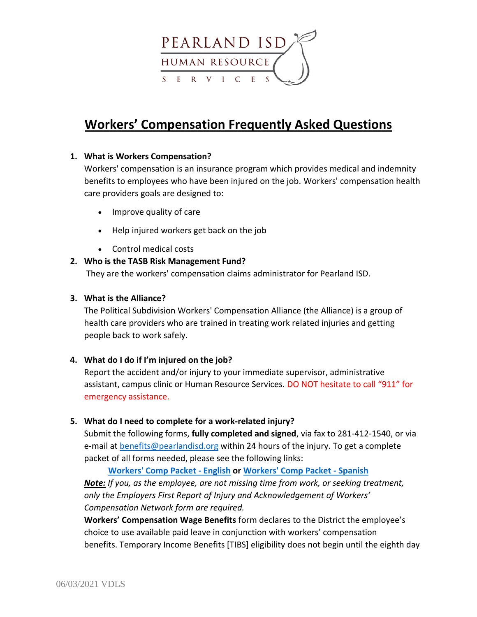

# **Workers' Compensation Frequently Asked Questions**

#### **1. What is Workers Compensation?**

Workers' compensation is an insurance program which provides medical and indemnity benefits to employees who have been injured on the job. Workers' compensation health care providers goals are designed to:

- Improve quality of care
- Help injured workers get back on the job
- Control medical costs

#### **2. Who is the TASB Risk Management Fund?**

They are the workers' compensation claims administrator for Pearland ISD.

#### **3. What is the Alliance?**

The Political Subdivision Workers' Compensation Alliance (the Alliance) is a group of health care providers who are trained in treating work related injuries and getting people back to work safely.

#### **4. What do I do if I'm injured on the job?**

Report the accident and/or injury to your immediate supervisor, administrative assistant, campus clinic or Human Resource Services. DO NOT hesitate to call "911" for emergency assistance.

#### **5. What do I need to complete for a work-related injury?**

Submit the following forms, **fully completed and signed**, via fax to 281-412-1540, or via e-mail at [benefits@pearlandisd.org](mailto:benefits@pearlandisd.org) within 24 hours of the injury. To get a complete packet of all forms needed, please see the following links:

**[Workers' Comp Packet -](https://www.pearlandisd.org/cms/lib/TX01918186/Centricity/Domain/59/WC_PACKET_ENGLISH.pdf) English or [Workers' Comp Packet -](https://www.pearlandisd.org/cms/lib/TX01918186/Centricity/Domain/59/WC_PACKET_SPANISH.pdf) Spanish** *Note: If you, as the employee, are not missing time from work, or seeking treatment, only the Employers First Report of Injury and Acknowledgement of Workers' Compensation Network form are required.*

**Workers' Compensation Wage Benefits** form declares to the District the employee's choice to use available paid leave in conjunction with workers' compensation benefits. Temporary Income Benefits [TIBS] eligibility does not begin until the eighth day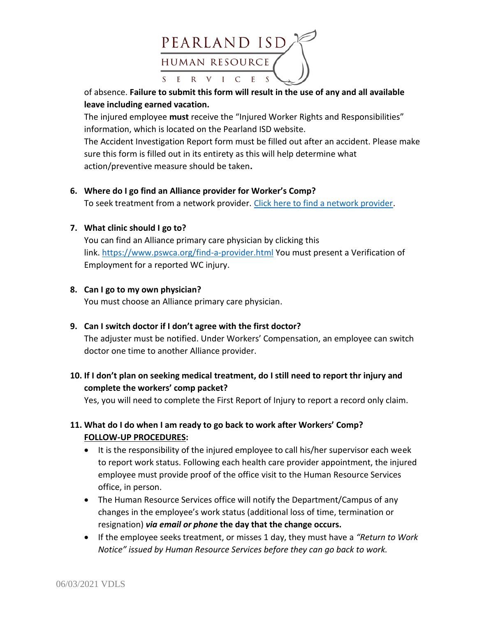

of absence. **Failure to submit this form will result in the use of any and all available leave including earned vacation.**

The injured employee **must** receive the "Injured Worker Rights and Responsibilities" information, which is located on the Pearland ISD website.

The Accident Investigation Report form must be filled out after an accident. Please make sure this form is filled out in its entirety as this will help determine what action/preventive measure should be taken**.**

**6. Where do I go find an Alliance provider for Worker's Comp?**

To seek treatment from a network provider. [Click here to find a network provider.](https://www.pswca.org/find-a-provider.html)

## **7. What clinic should I go to?**

You can find an Alliance primary care physician by clicking this link. <https://www.pswca.org/find-a-provider.html> You must present a Verification of Employment for a reported WC injury.

## **8. Can I go to my own physician?**

You must choose an Alliance primary care physician.

## **9. Can I switch doctor if I don't agree with the first doctor?**

The adjuster must be notified. Under Workers' Compensation, an employee can switch doctor one time to another Alliance provider.

# **10. If I don't plan on seeking medical treatment, do I still need to report thr injury and complete the workers' comp packet?**

Yes, you will need to complete the First Report of Injury to report a record only claim.

# **11. What do I do when I am ready to go back to work after Workers' Comp? FOLLOW-UP PROCEDURES:**

- It is the responsibility of the injured employee to call his/her supervisor each week to report work status. Following each health care provider appointment, the injured employee must provide proof of the office visit to the Human Resource Services office, in person.
- The Human Resource Services office will notify the Department/Campus of any changes in the employee's work status (additional loss of time, termination or resignation) *via email or phone* **the day that the change occurs.**
- If the employee seeks treatment, or misses 1 day, they must have a *"Return to Work Notice" issued by Human Resource Services before they can go back to work.*